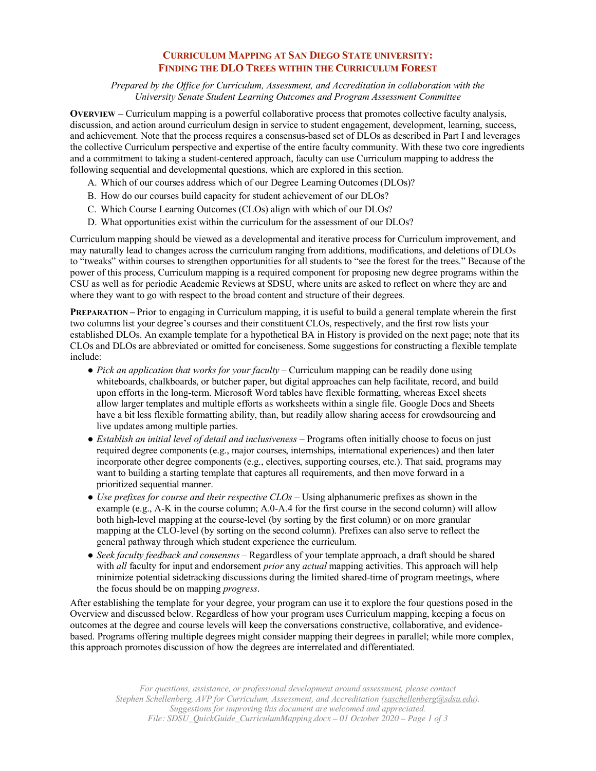## **CURRICULUM MAPPING AT SAN DIEGO STATE UNIVERSITY: FINDING THE DLO TREES WITHIN THE CURRICULUM FOREST**

*Prepared by the Office for Curriculum, Assessment, and Accreditation in collaboration with the University Senate Student Learning Outcomes and Program Assessment Committee*

**OVERVIEW** – Curriculum mapping is a powerful collaborative process that promotes collective faculty analysis, discussion, and action around curriculum design in service to student engagement, development, learning, success, and achievement. Note that the process requires a consensus-based set of DLOs as described in Part I and leverages the collective Curriculum perspective and expertise of the entire faculty community. With these two core ingredients and a commitment to taking a student-centered approach, faculty can use Curriculum mapping to address the following sequential and developmental questions, which are explored in this section.

- A. Which of our courses address which of our Degree Learning Outcomes (DLOs)?
- B. How do our courses build capacity for student achievement of our DLOs?
- C. Which Course Learning Outcomes (CLOs) align with which of our DLOs?
- D. What opportunities exist within the curriculum for the assessment of our DLOs?

Curriculum mapping should be viewed as a developmental and iterative process for Curriculum improvement, and may naturally lead to changes across the curriculum ranging from additions, modifications, and deletions of DLOs to "tweaks" within courses to strengthen opportunities for all students to "see the forest for the trees." Because of the power of this process, Curriculum mapping is a required component for proposing new degree programs within the CSU as well as for periodic Academic Reviews at SDSU, where units are asked to reflect on where they are and where they want to go with respect to the broad content and structure of their degrees.

**PREPARATION** – Prior to engaging in Curriculum mapping, it is useful to build a general template wherein the first two columns list your degree's courses and their constituent CLOs, respectively, and the first row lists your established DLOs. An example template for a hypothetical BA in History is provided on the next page; note that its CLOs and DLOs are abbreviated or omitted for conciseness. Some suggestions for constructing a flexible template include:

- *Pick an application that works for your faculty* Curriculum mapping can be readily done using whiteboards, chalkboards, or butcher paper, but digital approaches can help facilitate, record, and build upon efforts in the long-term. Microsoft Word tables have flexible formatting, whereas Excel sheets allow larger templates and multiple efforts as worksheets within a single file. Google Docs and Sheets have a bit less flexible formatting ability, than, but readily allow sharing access for crowdsourcing and live updates among multiple parties.
- *Establish an initial level of detail and inclusiveness* Programs often initially choose to focus on just required degree components (e.g., major courses, internships, international experiences) and then later incorporate other degree components  $(e.g.,$  electives, supporting courses, etc.). That said, programs may want to building a starting template that captures all requirements, and then move forward in a prioritized sequential manner.
- *Use prefixes for course and their respective CLOs*  Using alphanumeric prefixes as shown in the example (e.g., A-K in the course column; A.0-A.4 for the first course in the second column) will allow both high-level mapping at the course-level (by sorting by the first column) or on more granular mapping at the CLO-level (by sorting on the second column). Prefixes can also serve to reflect the general pathway through which student experience the curriculum.
- *Seek faculty feedback and consensus*  Regardless of your template approach, a draft should be shared with *all* faculty for input and endorsement *prior* any *actual* mapping activities. This approach will help minimize potential sidetracking discussions during the limited shared-time of program meetings, where the focus should be on mapping *progress*.

After establishing the template for your degree, your program can use it to explore the four questions posed in the Overview and discussed below. Regardless of how your program uses Curriculum mapping, keeping a focus on outcomes at the degree and course levels will keep the conversations constructive, collaborative, and evidencebased. Programs offering multiple degrees might consider mapping their degrees in parallel; while more complex, this approach promotes discussion of how the degrees are interrelated and differentiated.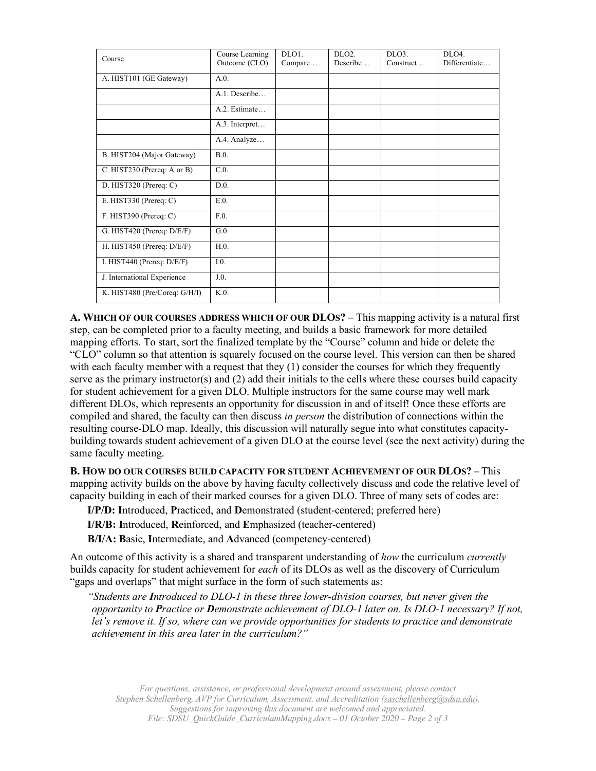| Course                        | Course Learning<br>Outcome (CLO) | DLO1.<br>Compare | DLO <sub>2</sub> .<br>Describe | DLO <sub>3</sub> .<br>Construct | DI.04.<br>Differentiate |
|-------------------------------|----------------------------------|------------------|--------------------------------|---------------------------------|-------------------------|
| A. HIST101 (GE Gateway)       | A.0.                             |                  |                                |                                 |                         |
|                               | A.1. Describe                    |                  |                                |                                 |                         |
|                               | A.2. Estimate                    |                  |                                |                                 |                         |
|                               | A.3. Interpret                   |                  |                                |                                 |                         |
|                               | A.4. Analyze                     |                  |                                |                                 |                         |
| B. HIST204 (Major Gateway)    | B.0.                             |                  |                                |                                 |                         |
| C. HIST230 (Prereq: A or B)   | C.0.                             |                  |                                |                                 |                         |
| D. HIST320 (Prereq: $C$ )     | D.0                              |                  |                                |                                 |                         |
| E. HIST330 (Prereq: $C$ )     | E.0.                             |                  |                                |                                 |                         |
| F. HIST390 (Prereq: $C$ )     | F.0.                             |                  |                                |                                 |                         |
| G. HIST420 (Prereq: D/E/F)    | G.0.                             |                  |                                |                                 |                         |
| H. HIST450 (Prereq: $D/E/F$ ) | H.0.                             |                  |                                |                                 |                         |
| I. HIST440 (Prereq: $D/E/F$ ) | I.0.                             |                  |                                |                                 |                         |
| J. International Experience   | J.0.                             |                  |                                |                                 |                         |
| K. HIST480 (Pre/Coreq: G/H/I) | $K.0$ .                          |                  |                                |                                 |                         |

**A. WHICH OF OUR COURSES ADDRESS WHICH OF OUR DLOS?** – This mapping activity is a natural first step, can be completed prior to a faculty meeting, and builds a basic framework for more detailed mapping efforts. To start, sort the finalized template by the "Course" column and hide or delete the "CLO" column so that attention is squarely focused on the course level. This version can then be shared with each faculty member with a request that they (1) consider the courses for which they frequently serve as the primary instructor(s) and (2) add their initials to the cells where these courses build capacity for student achievement for a given DLO. Multiple instructors for the same course may well mark different DLOs, which represents an opportunity for discussion in and of itself! Once these efforts are compiled and shared, the faculty can then discuss *in person* the distribution of connections within the resulting course-DLO map. Ideally, this discussion will naturally segue into what constitutes capacitybuilding towards student achievement of a given DLO at the course level (see the next activity) during the same faculty meeting.

**B. HOW DO OUR COURSES BUILD CAPACITY FOR STUDENT ACHIEVEMENT OF OUR DLOS? –** This mapping activity builds on the above by having faculty collectively discuss and code the relative level of capacity building in each of their marked courses for a given DLO. Three of many sets of codes are:

**I/P/D: I**ntroduced, **P**racticed, and **D**emonstrated (student-centered; preferred here)

**I/R/B: I**ntroduced, **R**einforced, and **E**mphasized (teacher-centered)

**B/I/A: B**asic, **I**ntermediate, and **A**dvanced (competency-centered)

An outcome of this activity is a shared and transparent understanding of *how* the curriculum *currently* builds capacity for student achievement for *each* of its DLOs as well as the discovery of Curriculum "gaps and overlaps" that might surface in the form of such statements as:

*"Students are Introduced to DLO-1 in these three lower-division courses, but never given the opportunity to Practice or Demonstrate achievement of DLO-1 later on. Is DLO-1 necessary? If not, let's remove it. If so, where can we provide opportunities for students to practice and demonstrate achievement in this area later in the curriculum?"*